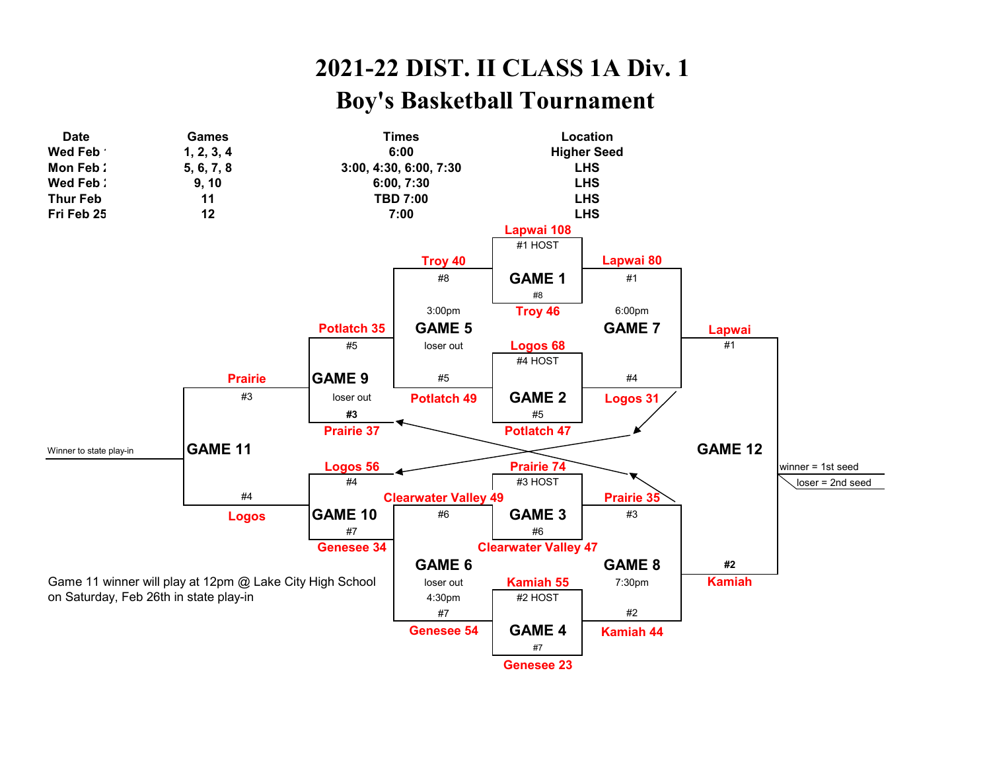## **2021-22 DIST. II CLASS 1A Div. 1 Boy's Basketball Tournament**